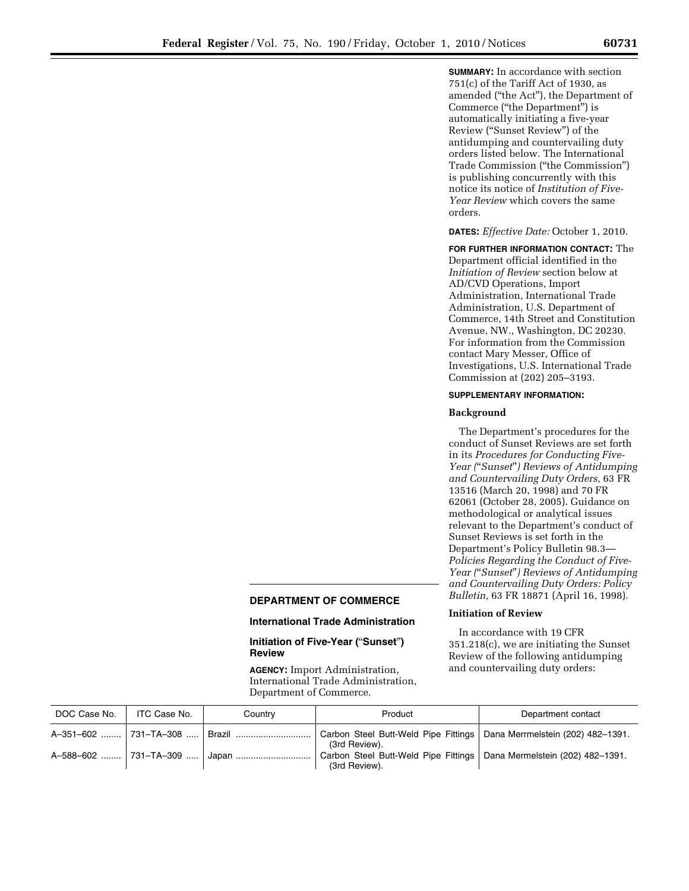**SUMMARY:** In accordance with section 751(c) of the Tariff Act of 1930, as amended (''the Act''), the Department of Commerce (''the Department'') is automatically initiating a five-year Review (''Sunset Review'') of the antidumping and countervailing duty orders listed below. The International Trade Commission (''the Commission'') is publishing concurrently with this notice its notice of *Institution of Five-Year Review* which covers the same orders.

**DATES:** *Effective Date:* October 1, 2010.

**FOR FURTHER INFORMATION CONTACT:** The Department official identified in the *Initiation of Review* section below at AD/CVD Operations, Import Administration, International Trade Administration, U.S. Department of Commerce, 14th Street and Constitution Avenue, NW., Washington, DC 20230. For information from the Commission contact Mary Messer, Office of Investigations, U.S. International Trade Commission at (202) 205–3193.

## **SUPPLEMENTARY INFORMATION:**

## **Background**

The Department's procedures for the conduct of Sunset Reviews are set forth in its *Procedures for Conducting Five-Year (*''*Sunset*''*) Reviews of Antidumping and Countervailing Duty Orders,* 63 FR 13516 (March 20, 1998) and 70 FR 62061 (October 28, 2005). Guidance on methodological or analytical issues relevant to the Department's conduct of Sunset Reviews is set forth in the Department's Policy Bulletin 98.3— *Policies Regarding the Conduct of Five-Year (*''*Sunset*''*) Reviews of Antidumping and Countervailing Duty Orders: Policy Bulletin,* 63 FR 18871 (April 16, 1998).

# **Initiation of Review**

In accordance with 19 CFR 351.218(c), we are initiating the Sunset Review of the following antidumping and countervailing duty orders:

# **DEPARTMENT OF COMMERCE**

### **International Trade Administration**

**Initiation of Five-Year (**''**Sunset**''**) Review** 

**AGENCY:** Import Administration, International Trade Administration, Department of Commerce.

| DOC Case No. | ITC Case No. | Country | Product                                                                                                                      | Department contact |
|--------------|--------------|---------|------------------------------------------------------------------------------------------------------------------------------|--------------------|
|              |              |         | A-351-602  731-TA-308    Brazil    Carbon Steel Butt-Weld Pipe Fittings   Dana Merrmelstein (202) 482-1391.<br>(3rd Review). |                    |
|              |              |         | Carbon Steel Butt-Weld Pipe Fittings   Dana Mermelstein (202) 482-1391.<br>(3rd Review).                                     |                    |